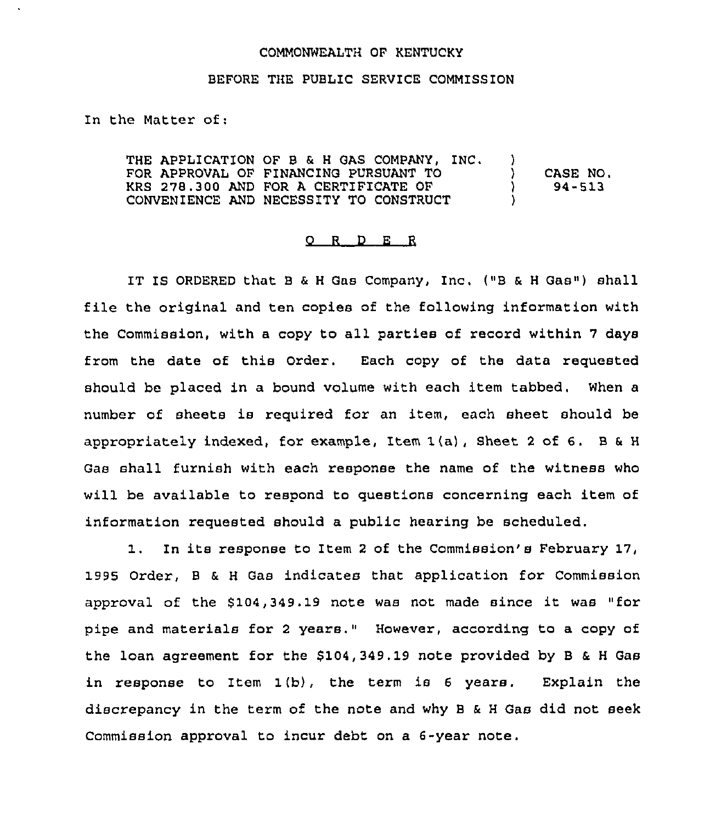### COMMONWEALTH OF KENTUCKY

### BEFORE THE PUBLIC SERVICE COMMISSION

In the Matter of;

THE APPLICATION OF B & H GAS COMPANY, INC. )<br>FOR APPROVAL OF FINANCING PURSUANT TO FOR APPROVAL OF FINANCING PURSUANT TO ) KRS 278.300 AND FOR A CERTIFICATE OF ) CONVENIENCE AND NECESSITY TO CONSTRUCT CASE NO, 94-513

### 0 R <sup>D</sup> E <sup>R</sup>

IT Is ORDERED that <sup>B</sup> & <sup>H</sup> Gas Company, Inc. ("B & <sup>H</sup> Gas") shall file the original and ten copies of the following information with the Commission, with <sup>a</sup> copy to all parties of record within <sup>7</sup> days from the date of this Order. Each copy of the data requested should be placed in a bound volume with each item tabbed. When a number of sheets is required for an item, each sheet should be appropriately indexed, for example, Item  $1(a)$ , Sheet 2 of 6. B & H Gas shall furnish with each response the name of the witness who will be available to respond to questions concerning each item of information requested should a public hearing be scheduled.

1. In its response to Item <sup>2</sup> of the Commission's February 17, 1995 Order, <sup>B</sup> & <sup>H</sup> Gas indicates that application for Commission approval of the \$104,349.19 note was not made since it was "for pipe and materials for <sup>2</sup> years." However, according to a copy of the loan agreement for the \$104,349.19 note provided by <sup>B</sup> & <sup>H</sup> Gas in response to Item 1(b}, the term is <sup>6</sup> years. Explain the discrepancy in the term of the note and why <sup>B</sup> & <sup>H</sup> Gas did not seek Commission approval to incur debt on a 6-year note.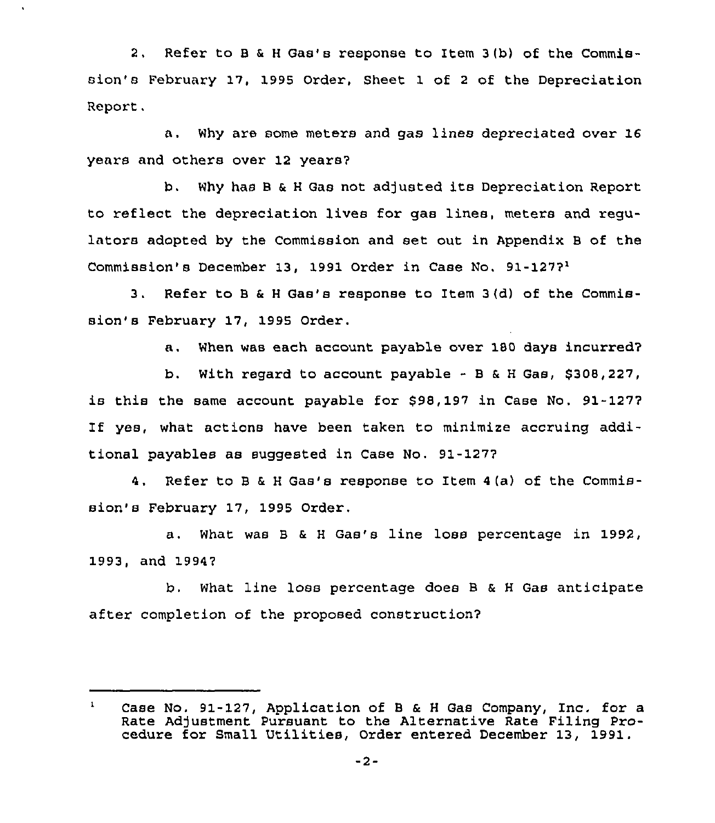2. Refer to <sup>B</sup> & <sup>H</sup> Gas's response to Item <sup>3</sup> (b) of the Commission's February 17, 1995 Order, Sheet 1 of <sup>2</sup> of the Depreciation Report.

a. Why are some meters and gas lines depreciated over 16 years and others over 12 years?

b. Why has <sup>B</sup> & <sup>H</sup> Gas not adjusted its Depreciation Report to reflect the depreciation lives for gas linea, meters and regulators adopted by the Commission and set out in Appendix <sup>B</sup> of the Commission's December 13, 1991 Order in Case No. 91-127?'.

Refer to <sup>B</sup> & <sup>H</sup> Gas's response to Item 3(d) of the Commis- $3.1$ sion's February 17, 1995 Order.

a. When was each account payable over 180 days incurred?

b. With regard to account payable - <sup>B</sup> & <sup>H</sup> Gas, \$308,227, is this the same account payable for \$98,197 in Case No. 91-127? If yes, what actions have been taken to minimize accruing additional payables as suggested in Case No. 91-127?

4. Refer to <sup>B</sup> & <sup>H</sup> Gas's response to Item 4(a) of the Commission's February 17, 1995 Order.

a. What was <sup>B</sup> & <sup>H</sup> Gas's line lose percentage in 1992, 1993, and 1994?

b. What line loss percentage does B & <sup>H</sup> Gas anticipate after completion of the proposed construction?

 $\mathbf{1}$ Case No. 91-127, Application of <sup>B</sup> & <sup>H</sup> Gas Company, Inc. for a Rate Adjustment Pursuant to the Alternative Rate Filing Procedure for Small Utilities, Order entered December 13, 1991.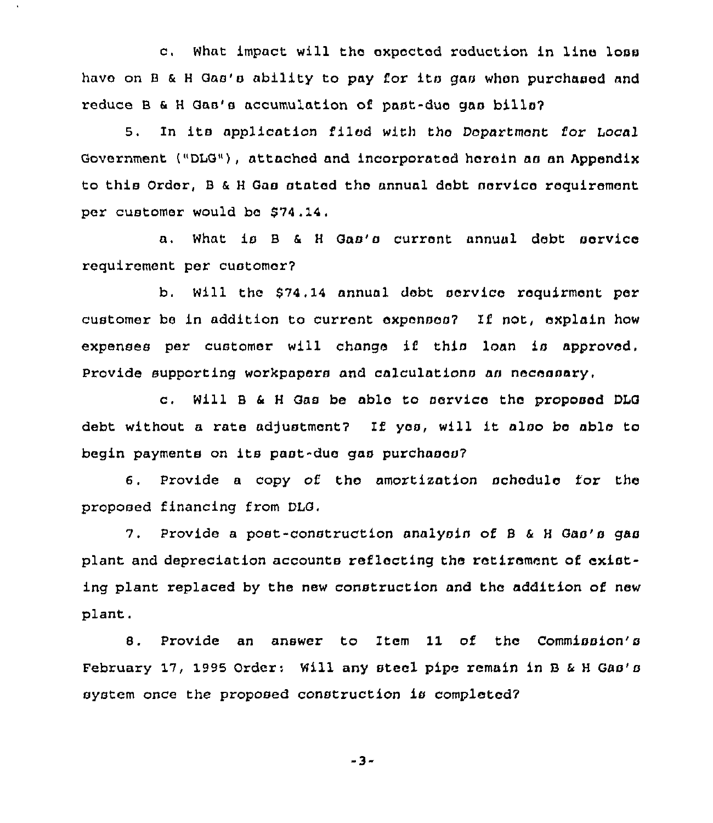c, What impact will the expected reduction in line loss have on B & H Gas's ability to pay for its gas when purchased and reduce 8 a <sup>H</sup> Gas'a accumulation of past-due gaa billa7

5. In its application filed with the Department for Local Government ("DLG"), attached and incorporated herein aa an Appendix to this Order, B & H Gas stated the annual debt service requirement per customer would be \$74.14.

a. What is B & H Gas's current annual debt service requirement per customar7

b. Will the \$74, 14 annual debt service requirment per customer be in addition to current expensoa7 Ii not, explain how expenses per customer will change if this loan is approved. Provide supporting workpapers and calculations as necessary,

c, Will 8 <sup>6</sup> <sup>H</sup> Gas be able to service the proposed DLG debt without a rate adjustment? If yes, will it also be able to begin payments on its past-due gas purchases?

6. Provide <sup>a</sup> copy of the amortization schedule for the proposed financing from DLG,

7. Provide a post-construction analysin of B & H Gas's gas plant and depreciation accounts reflecting the retirement of existing plant replaced by the new construction and the addition of new plant.

8. Provide an answer to Item 11 of the Commission's February 17, 1995 Order: Will any steel pipe remain in 8 <sup>k</sup> <sup>H</sup> Gas's system once the proposed construction is completed7

-3-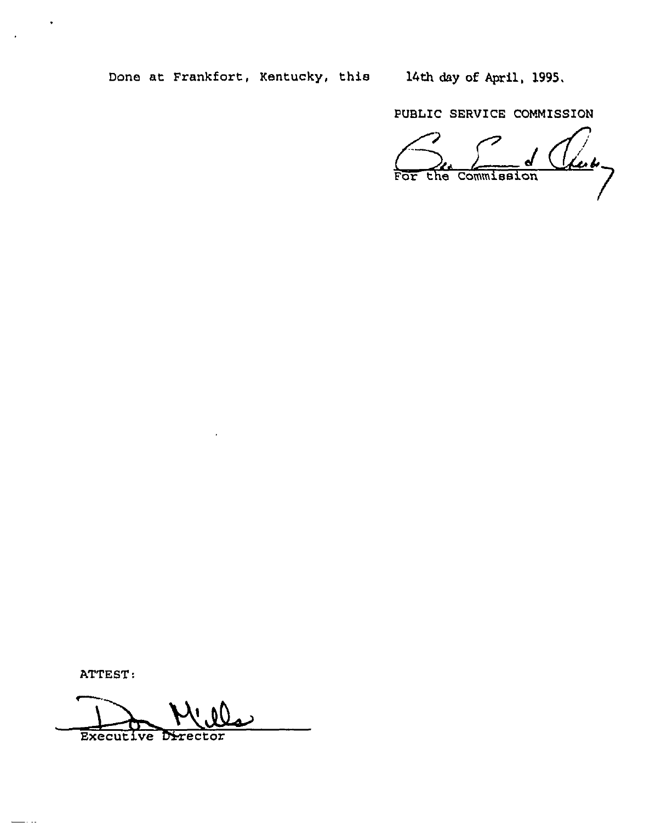Done at Frankfort, Kentucky, this 14th day of April, 1995.

PUBLIC SERVICE COMMISSION

Leading the Commission FOL

ATTEST:

**Executive Director**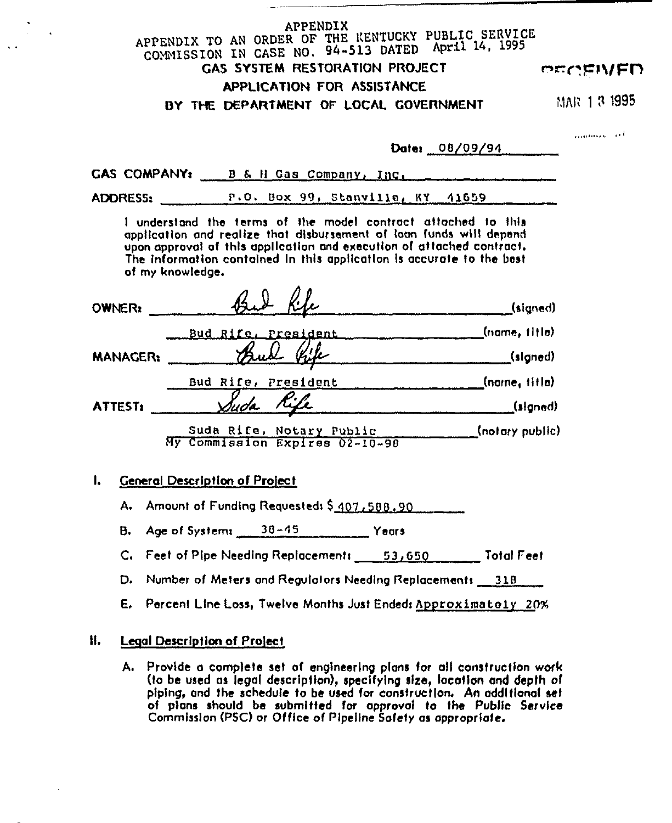# **APPENDIX** APPENDIX TO AN ORDER OF THE KENTUCKY PUBLIC SERVICE<br>COMMISSION IN CASE NO. 94-513 DATED April 14, 1995 GAS SYSTEM RESTORATION PROJECT APPLICATION FOR ASSISTANCE BY THE DEPARTMENT OF LOCAL GOVERNMENT

PECEWED

MAR 1 3 1995

بالمرابي

|                                             |                                                                                                                                                                                                                                                                                        | Date: 08/09/94 |                               |
|---------------------------------------------|----------------------------------------------------------------------------------------------------------------------------------------------------------------------------------------------------------------------------------------------------------------------------------------|----------------|-------------------------------|
|                                             | GAS COMPANY: B & H Gas Company, Inc.                                                                                                                                                                                                                                                   |                |                               |
| <b>ADDRESS:</b>                             | P.O. Box 99, Stanville, KY 41659                                                                                                                                                                                                                                                       |                |                               |
| of my knowledge.                            | I understand the terms of the model contract attached to this<br>application and realize that disbursement of loan funds will depend<br>upon approval of this application and execution of attached contract.<br>The information contained In this application is accurate to the best |                |                               |
| <b>OWNER!</b>                               |                                                                                                                                                                                                                                                                                        |                | (signed)                      |
|                                             | Bud Rife, President                                                                                                                                                                                                                                                                    |                | (name, title)                 |
| <b>MANAGER:</b>                             |                                                                                                                                                                                                                                                                                        |                | (signed)                      |
|                                             | Bud Rife, President (name, iiila)                                                                                                                                                                                                                                                      |                |                               |
| ATTEST:                                     | Suda Rife                                                                                                                                                                                                                                                                              |                | (signed)                      |
|                                             | Suda Rife, Notary Public<br>My Commission Expires 02-10-98                                                                                                                                                                                                                             |                | $\frac{1}{2}$ (notary public) |
| <b>General Description of Project</b><br>ı. |                                                                                                                                                                                                                                                                                        |                |                               |
| А.                                          | Amount of Funding Requested: \$407,588,90                                                                                                                                                                                                                                              |                |                               |
| в.                                          | Age of Systems 38-45 Years                                                                                                                                                                                                                                                             |                |                               |
|                                             | C. Feet of Pipe Needing Replacements 53,650                                                                                                                                                                                                                                            |                | <b>Total Feet</b>             |

- D. Number of Meters and Regulators Needing Replacements 318
- E. Percent Line Loss, Twelve Months Just Ended: Approximately 20%

#### H. **Legal Description of Project**

A. Provide a complete set of engineering plans for all construction work (to be used as legal description), specifying size, location and depth of piping, and the schedule to be used for construction. An additional set of plans should be submitted for approval to the Public Service Commission (PSC) or Office of Pipeline Safety as appropriate.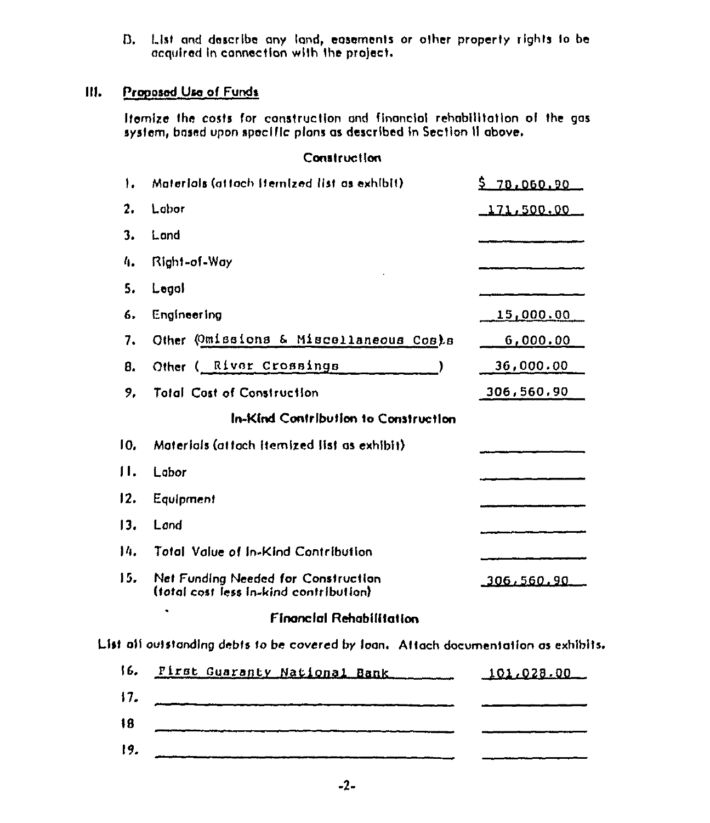B. List and describe any land, easements or other property rights to be acquired in connection with the project.

#### Proposed Use of Funds Ш.

Itemize the costs for construction and financial rehabilitation of the gas system, based upon specific plans as described in Section II above.

## **Construction**

| ۱.      | Materials (attach itemized list as exhibit)                                   | 5 70,060.90       |
|---------|-------------------------------------------------------------------------------|-------------------|
| 2.      | Labor                                                                         | 171,500.00        |
| 3.      | Lond                                                                          |                   |
| 4.      | Right-of-Way                                                                  |                   |
| 5.      | Legal                                                                         |                   |
| 6.      | Engineering                                                                   | <u>15,000.00</u>  |
| 7.      | Other (Omissions & Miscellaneous Costs                                        | <u>00.000,00</u>  |
| 8.      | Other ( River Crossings                                                       | 36,000.00         |
| 9,      | <b>Total Cost of Construction</b>                                             | 306,560,90        |
|         | In-Kind Contribution to Construction                                          |                   |
| 10.     | Materials (attach Itemized list as exhibit)                                   |                   |
| $\Pi$ . | Lobor                                                                         |                   |
| 12.     | Equipment                                                                     |                   |
| 13.     | Land                                                                          |                   |
| 14.     | Total Value of In-Kind Contribution                                           |                   |
| 15.     | Net Funding Needed for Construction<br>(total cost less in-kind contribution) | <u>306,560.90</u> |
|         | <b>Financial Rehabilitation</b>                                               |                   |

List all outstanding debts to be covered by Ioan. Attach documentation as exhibits.

| 16. | First Guaranty National Bank | 101.028.00 |
|-----|------------------------------|------------|
| 17. |                              |            |
| 18  |                              |            |
| 19. |                              |            |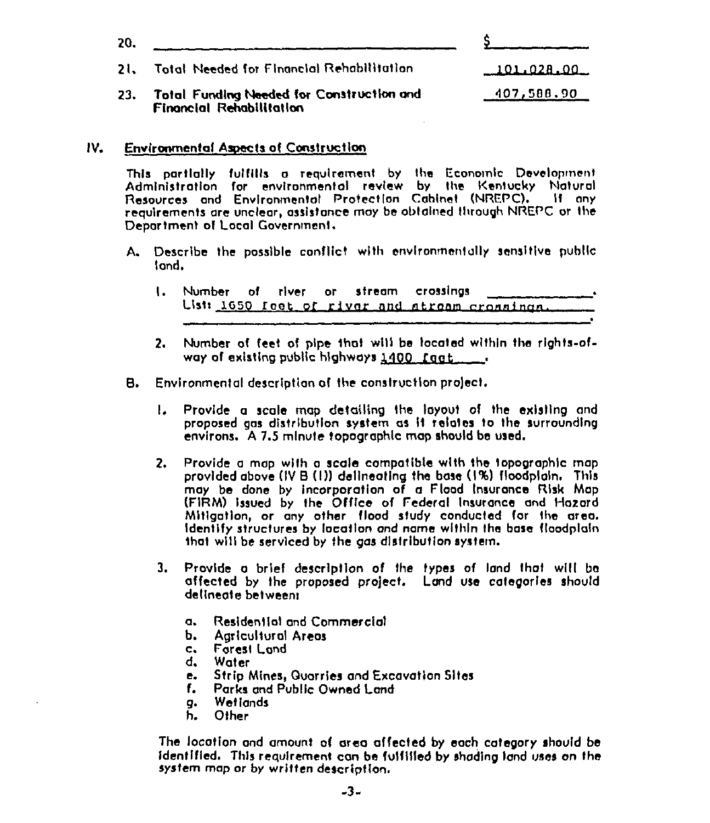| 20. |                                                                              |               |
|-----|------------------------------------------------------------------------------|---------------|
|     | 21. Total Needed for Financial Rehabilitation                                | $-101.028.00$ |
| 23. | Total Funding Needed for Construction and<br><b>Financial Rehabilitation</b> | 107,588.90    |

#### $IV.$ **Environmental Aspects of Construction**

This partially fulfills a requirement by the Economic Development Administration for environmental review by the Kentucky Natural<br>Resources and Environmental Protection Cabinet (NREPC). If any requirements are unclear, assistance may be obtained through NREPC or the Department of Local Government.

- A. Describe the possible conflict with environmentally sensitive public land.
	- $\mathbf{L}$ Number crossings of river or stream Usti 1650 feet of river and atream cronnings.
	- 2. Number of feet of pipe that will be located within the rights-ofway of existing public highways  $1400$ , faat
- в. Environmental description of the construction project.
	- Provide a scale map detailing the layout of the existing and  $\mathbf{L}$ proposed gas distribution system as it relates to the surrounding environs. A 7.5 mlnute topographic map should be used.
	- Provide a map with a scale compatible with the topographic map  $2.$ provided above (IV B (I)) delineating the base (I%) floodpigin. This may be done by incorporation of a Flood Insurance Risk Map (FIRM) issued by the Office of Federal Insurance and Hazard Mitigation, or any other flood study conducted for the area. Identify structures by location and name within the base floodplain that will be serviced by the gas distribution system.
	- $3.$ Provide a brief description of the types of land that will be affected by the proposed project. Land use categories should delineate between:
		- Residential and Commercial  $\alpha$ .
		- **Agricultural Areas** Ь.
		- Forest Land  $c_{\star}$
		- d. **Water**
		- Strip Mines, Quarries and Excavation Sites e.
		- Parks and Public Owned Land f.
		- **WetTands** a.
		- Other h.

The location and amount of area affected by each category should be identified. This requirement can be fulfilled by shading land uses on the system map or by written description.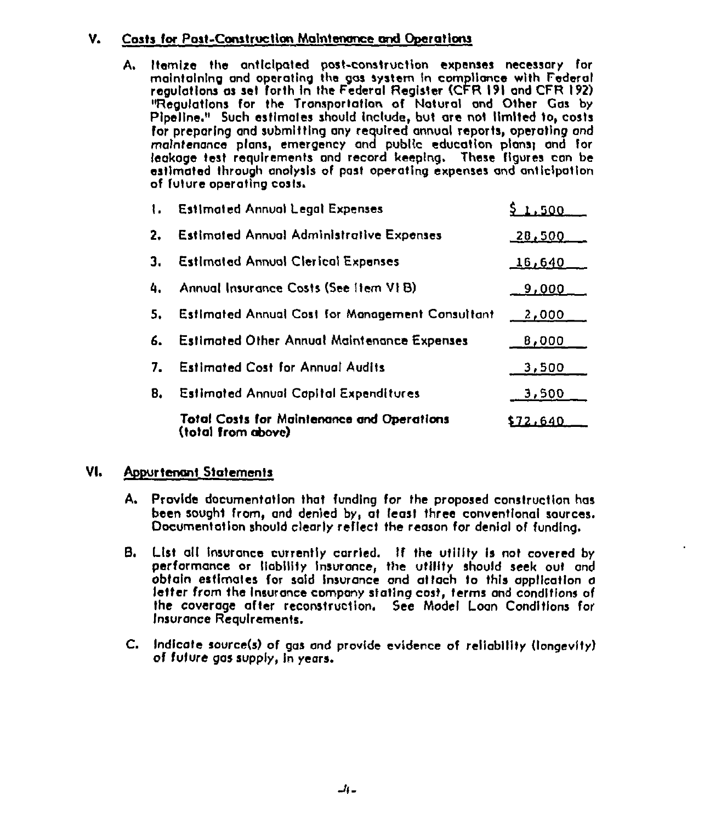#### Costs for Post-Construction Maintenance and Operations v.

Itemize the anticipated post-construction expenses necessary for А. maintaining and operating the gas system in compliance with Federal requiations as set forth in the Federal Register (CFR 191 and CFR 192) "Reaulations for the Transportation of Natural and Other Gas by Pipeline." Such estimates should include, but are not limited to, costs for preparing and submitting any required annual reports, operating and maintenance plans, emergency and public education plans; and for leakage test requirements and record keeping. These figures can be estimated through analysis of past operating expenses and anticipation of future operating costs.

| $\mathbf{L}$ | <b>Estimated Annual Legal Expenses</b>                                  | .500          |
|--------------|-------------------------------------------------------------------------|---------------|
| 2.           | <b>Estimated Annual Administrative Expenses</b>                         | <u>28,500</u> |
| з.           | <b>Estimated Annual Clerical Expenses</b>                               | <u>16,640</u> |
| 4.           | Annual Insurance Costs (See Item VI B)                                  | 9,000         |
| 5.           | <b>Estimated Annual Cost for Management Consultant</b>                  | <u>2,000</u>  |
| 6.           | <b>Estimated Other Annual Maintenance Expenses</b>                      | 8,000         |
| 7.           | <b>Estimated Cost for Annual Audits</b>                                 | 3,500         |
| 8.           | <b>Estimated Annual Capital Expenditures</b>                            | 3,500         |
|              | <b>Total Costs for Maintenance and Operations</b><br>(total from above) | \$72.640      |

#### VI. **Appurtenant Statements**

- A. Provide documentation that funding for the proposed construction has been sought from, and denied by, at least three conventional sources. Documentation should clearly reflect the reason for denial of funding.
- B. List all insurance currently carried. If the utility is not covered by performance or liability insurance, the utility should seek out and obtain estimates for said insurance and attach to this application a letter from the insurance company stating cost, terms and conditions of the coverage after reconstruction. See Model Loan Conditions for Insurance Requirements.
- C. Indicate source(s) of gas and provide evidence of reliability (longevity) of future gas supply, in years.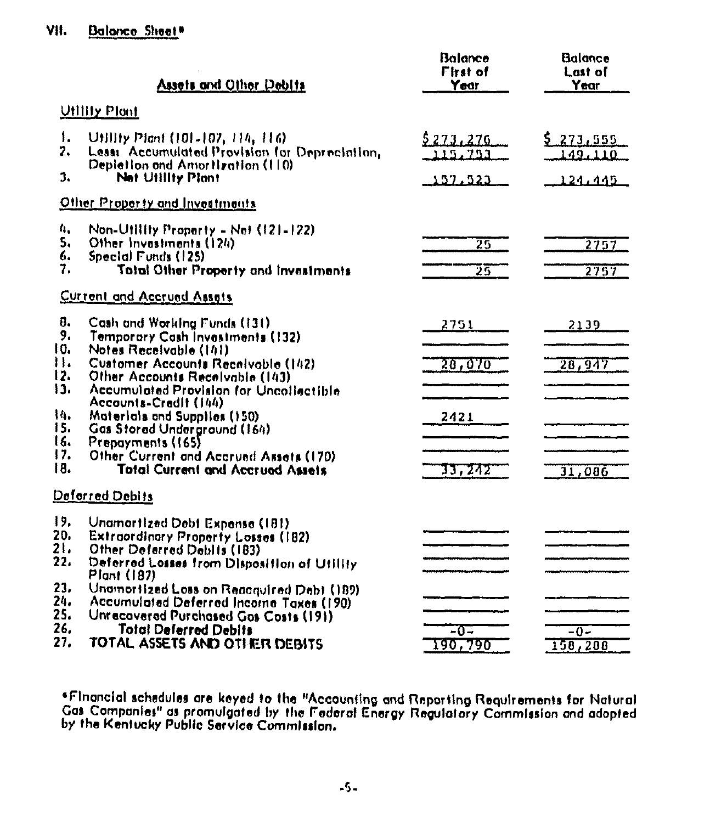#### VII. **Balance Sheet\***

|                      | Assets and Other Deblis                                                                                                        | Balance<br>First of<br>Year | Balance<br>Last of<br>Year  |
|----------------------|--------------------------------------------------------------------------------------------------------------------------------|-----------------------------|-----------------------------|
|                      | <b>Utility Plant</b>                                                                                                           |                             |                             |
| ۱.<br>2.             | Utility Plant (101-107, 114, 116)<br>Lessi Accumulated Provision for Depreciation.                                             | <u>5273,276</u><br>115,753  | <u>5 273,555</u><br>149.110 |
| 3.                   | Depletion and Amortization (110)<br><b>Net Utility Plant</b>                                                                   | 157,523                     | 124,445                     |
|                      | Other Property and Investments                                                                                                 |                             |                             |
| 4.<br>5.<br>6.<br>7. | Non-Utility Property - Net $(12)$ -122)<br>Other Investments (124)<br>Special Funds (125)                                      | $\overline{25}$             | 2757                        |
|                      | Total Other Property and Investments<br><b>Current and Accrued Assets</b>                                                      | 75                          | 2757                        |
| $\mathbf{a}$ .       |                                                                                                                                |                             |                             |
| 9.<br>10.            | Cash and Working Funds (131)<br>Temporary Cash Investments (132)<br>Notes Receivable (141)                                     | 2751                        | 2139                        |
| 11.<br>12.           | Customer Accounts Receivable (142)<br>Other Accounts Receivable (143)                                                          | 20,070                      | 28,947                      |
| 13.                  | Accumulated Provision for Uncollectible<br>Accounts-Credit (144)                                                               |                             |                             |
| 14.<br>15.<br>16.    | Materials and Supplies (150)<br>Gas Stored Underground (164)<br>Prepayments (165)                                              | 2421                        |                             |
| 17.<br>18.           | Other Current and Accrued Assets (170)<br><b>Total Current and Accrued Assets</b>                                              | 33,242                      | 31,006                      |
|                      | Deforred Debits                                                                                                                |                             |                             |
| 19.<br>20.           | Unamortized Debt Expense (181)<br><b>Extraordinary Property Losses (182)</b>                                                   |                             |                             |
| 21.<br>22.           | Other Deferred Debits (183)<br>Deferred Losses from Disposition of Utility                                                     |                             |                             |
| 23,                  | <b>Plant (187)</b>                                                                                                             |                             |                             |
| 24.<br>25.           | Unamortized Loss on Reacquired Debt (189)<br>Accumulated Deferred Incorne Taxes (190)<br>Unrecovered Purchased Gas Costs (191) |                             |                             |
| 26.<br>27.           | <b>Total Deferred Debits</b><br>TOTAL ASSETS AND OTHER DEBITS                                                                  | -0-<br>190 <del>.7</del> 90 | $-0-$<br>158,208            |

\*Financial schedules are keyed to the "Accounting and Reporting Requirements for Natural<br>Gas Companies" as promulgated by the Federal Energy Regulatory Commission and adopted<br>by the Kentucky Public Service Commission.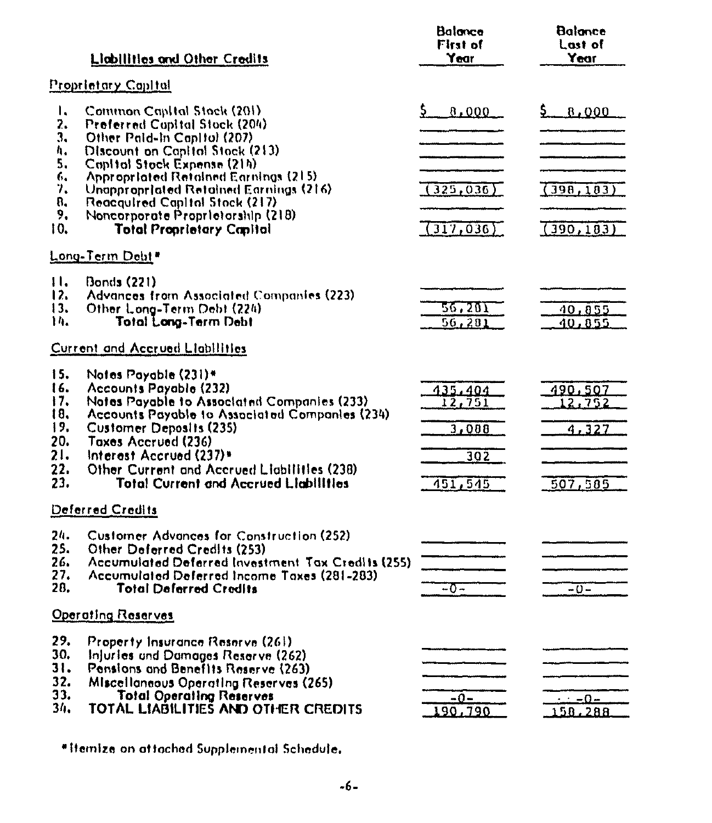|                                                             | Liabilities and Other Credits                                                                                                                                                                                                                                                                                                                                    | Balance<br>First of<br>Year                   | Balance<br>Last of<br>Year              |
|-------------------------------------------------------------|------------------------------------------------------------------------------------------------------------------------------------------------------------------------------------------------------------------------------------------------------------------------------------------------------------------------------------------------------------------|-----------------------------------------------|-----------------------------------------|
|                                                             | <u> Proprietary Capital</u>                                                                                                                                                                                                                                                                                                                                      |                                               |                                         |
| ۱,<br>2.<br>3.<br>Λ.<br>5.<br>6.<br>7.<br>8.<br>9.<br>10.   | Common Capital Stock (201)<br><b>Proferred Capital Stock (204)</b><br>Other Pald-In Capital (207)<br>Discount on Capital Stock (213)<br>Copital Stock Expense (214)<br>Appropriated Retained Earnings (215)<br>Unappropriated Retained Earnings (216)<br>Reacquired Capital Stock (217)<br>Noncorporate Proprietorship (218)<br><b>Total Proprietary Capital</b> | 0.000<br>(325, 036)<br>(317, 036)             | 5_<br>8,000<br>(398, 183)<br>(390, 183) |
|                                                             | Long-Term Debt*                                                                                                                                                                                                                                                                                                                                                  |                                               |                                         |
| $\mathbf{H}$<br>12.<br>13.<br>14.                           | Bonds (221)<br>Advances from Associated Companies (223)<br>Other Long-Term Debt (224)<br>Total Long-Term Debt                                                                                                                                                                                                                                                    | 56.201<br>56,281                              | <u>40,855</u><br>40.055                 |
|                                                             | Current and Accrued Liabilities                                                                                                                                                                                                                                                                                                                                  |                                               |                                         |
| 15.<br>16.<br>17.<br>18.<br>19.<br>20.<br>21.<br>22.<br>23. | Notes Payable (231)*<br>Accounts Payable (232)<br>Notes Payable to Associated Companies (233)<br>Accounts Payable to Associated Companies (234)<br><b>Customer Deposits (235)</b><br><b>Taxes Accrued (236)</b><br>Interest Accrued (237)*<br>Other Current and Accrued Liabilities (238)<br><b>Total Current and Accrued Liabilities</b>                        | 435,404<br>12,751<br>3.008<br>302<br>451, 545 | 490,507<br>12,752<br>1.327<br>507,585   |
|                                                             | Deferred Credits                                                                                                                                                                                                                                                                                                                                                 |                                               |                                         |
| 24.<br>25.<br>26.<br>27.<br>28.                             | <b>Customer Advances for Construction (252)</b><br>Other Deferred Credits (253)<br>Accumulated Deferred Investment Tax Credits (255)<br>Accumulated Deferred Income Taxes (281-283)<br><b>Total Deferred Credits</b>                                                                                                                                             | -0-                                           | $-0-$                                   |
|                                                             | <b>Operating Reserves</b>                                                                                                                                                                                                                                                                                                                                        |                                               |                                         |
| 29.<br>30.<br>31.<br>32.<br>33.<br>34.                      | Property Insurance Reserve (261)<br>Injuries and Damages Reserve (262)<br>Pensions and Benefits Reserve (263)<br>Miscellaneous Operating Reserves (265)<br><b>Total Operating Reserves</b><br>TOTAL LIABILITIEŠ AND OTHER CREDITS                                                                                                                                | $-0-$<br>190.790                              | دΩ=<br>158,288                          |

\*Hemize on attached Supplemental Schedule.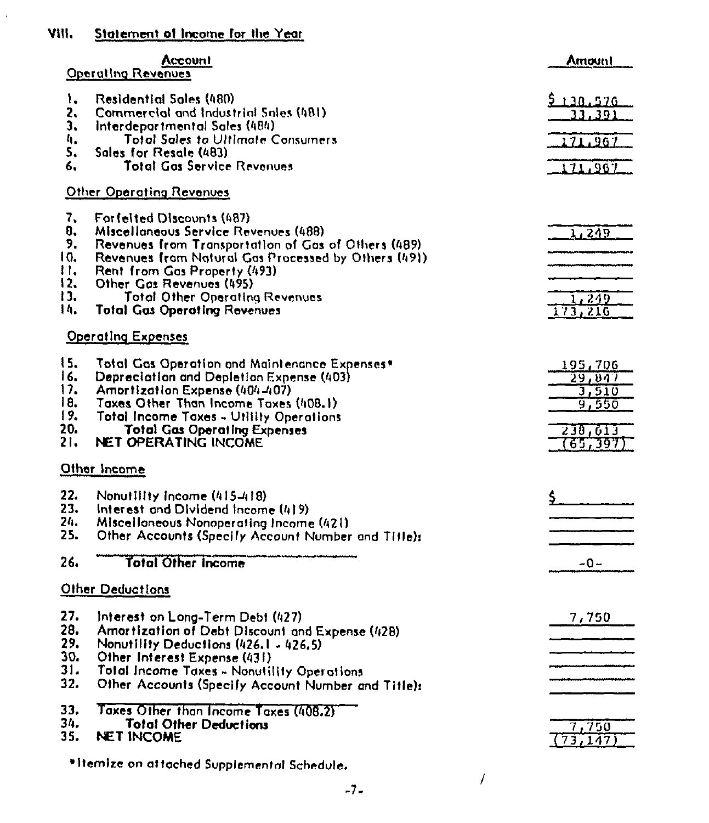#### VIII. Statement of Income for the Year

 $\ddot{\phantom{a}}$ 

| Residential Sales (480)<br>۱.<br>9130.576<br>Commercial and Industrial Sales (481)<br>2.<br>33,391<br>3.<br>Interdepartmental Sales (484)<br>4.<br><b>Total Sales to Ultimate Consumers</b><br>171,967<br>5.<br>Sales for Resale (483)<br><b>Total Gas Service Revenues</b><br>6.<br>171,967<br>Other Operating Revenues<br>7.<br>Forfelted Discounts (487)<br>8.<br>Miscellaneous Service Revenues (488)<br>1,249<br>9.<br>Revenues from Transportation of Gas of Others (489)<br>10.<br>Revenues from Natural Gas Processed by Others (491)<br>$H_{\bullet}$<br>Rent from Gas Property (493)<br>12.<br>Other Gas Revenues (495)<br>13.<br><b>Total Other Operating Revenues</b><br>1, 249<br>$\mathbf{a}$<br><b>Total Gas Operating Revenues</b><br>173, 216<br><u> Operating Expenses</u><br>15.<br>Total Gas Operation and Maintenance Expenses*<br>195,706<br>16.<br>Depreciation and Depletion Expense (403)<br>29,847<br>17.<br>Amortization Expense (404-407)<br>3,510<br>18.<br>Taxes Other Than Income Taxes (408.1)<br>9,550<br>19.<br>Total Income Taxes - Utility Operations<br>20.<br><b>Total Gas Operating Expenses</b><br>230,013<br>21.<br><b>NET OPERATING INCOME</b><br>(65,397)<br>Other Income<br>22.<br>Nonutility income $(415-418)$<br>23.<br>Interest and Dividend Income (419)<br>24.<br>Miscellaneous Nonoperating Income (421)<br>25.<br>Other Accounts (Specify Account Number and Title):<br>26.<br><b>Total Other Income</b><br>$-0-$<br>Other Deductions<br>27,<br>Interest on Long-Term Debt (427)<br>7,750<br>28.<br>Amortization of Debt Discount and Expense (428)<br>29.<br>Nonutility Deductions (426.1 - 426.5)<br>30.<br>Other Interest Expense (431)<br>31.<br>Total Income Taxes - Nonutility Operations<br>32.<br>Other Accounts (Specify Account Number and Title):<br>33.<br>Taxes Other than Income Taxes (408.2)<br>34.<br><b>Total Other Deductions</b><br>7,750<br>35.<br><b>NET INCOME</b><br>(73, 147) | Account<br><b>Operating Revenues</b> | Amount |
|------------------------------------------------------------------------------------------------------------------------------------------------------------------------------------------------------------------------------------------------------------------------------------------------------------------------------------------------------------------------------------------------------------------------------------------------------------------------------------------------------------------------------------------------------------------------------------------------------------------------------------------------------------------------------------------------------------------------------------------------------------------------------------------------------------------------------------------------------------------------------------------------------------------------------------------------------------------------------------------------------------------------------------------------------------------------------------------------------------------------------------------------------------------------------------------------------------------------------------------------------------------------------------------------------------------------------------------------------------------------------------------------------------------------------------------------------------------------------------------------------------------------------------------------------------------------------------------------------------------------------------------------------------------------------------------------------------------------------------------------------------------------------------------------------------------------------------------------------------------------------------------------------------------------------------------------------------|--------------------------------------|--------|
|                                                                                                                                                                                                                                                                                                                                                                                                                                                                                                                                                                                                                                                                                                                                                                                                                                                                                                                                                                                                                                                                                                                                                                                                                                                                                                                                                                                                                                                                                                                                                                                                                                                                                                                                                                                                                                                                                                                                                            |                                      |        |
|                                                                                                                                                                                                                                                                                                                                                                                                                                                                                                                                                                                                                                                                                                                                                                                                                                                                                                                                                                                                                                                                                                                                                                                                                                                                                                                                                                                                                                                                                                                                                                                                                                                                                                                                                                                                                                                                                                                                                            |                                      |        |
|                                                                                                                                                                                                                                                                                                                                                                                                                                                                                                                                                                                                                                                                                                                                                                                                                                                                                                                                                                                                                                                                                                                                                                                                                                                                                                                                                                                                                                                                                                                                                                                                                                                                                                                                                                                                                                                                                                                                                            |                                      |        |
|                                                                                                                                                                                                                                                                                                                                                                                                                                                                                                                                                                                                                                                                                                                                                                                                                                                                                                                                                                                                                                                                                                                                                                                                                                                                                                                                                                                                                                                                                                                                                                                                                                                                                                                                                                                                                                                                                                                                                            |                                      |        |
|                                                                                                                                                                                                                                                                                                                                                                                                                                                                                                                                                                                                                                                                                                                                                                                                                                                                                                                                                                                                                                                                                                                                                                                                                                                                                                                                                                                                                                                                                                                                                                                                                                                                                                                                                                                                                                                                                                                                                            |                                      |        |
|                                                                                                                                                                                                                                                                                                                                                                                                                                                                                                                                                                                                                                                                                                                                                                                                                                                                                                                                                                                                                                                                                                                                                                                                                                                                                                                                                                                                                                                                                                                                                                                                                                                                                                                                                                                                                                                                                                                                                            |                                      |        |
|                                                                                                                                                                                                                                                                                                                                                                                                                                                                                                                                                                                                                                                                                                                                                                                                                                                                                                                                                                                                                                                                                                                                                                                                                                                                                                                                                                                                                                                                                                                                                                                                                                                                                                                                                                                                                                                                                                                                                            |                                      |        |
|                                                                                                                                                                                                                                                                                                                                                                                                                                                                                                                                                                                                                                                                                                                                                                                                                                                                                                                                                                                                                                                                                                                                                                                                                                                                                                                                                                                                                                                                                                                                                                                                                                                                                                                                                                                                                                                                                                                                                            |                                      |        |
|                                                                                                                                                                                                                                                                                                                                                                                                                                                                                                                                                                                                                                                                                                                                                                                                                                                                                                                                                                                                                                                                                                                                                                                                                                                                                                                                                                                                                                                                                                                                                                                                                                                                                                                                                                                                                                                                                                                                                            |                                      |        |
|                                                                                                                                                                                                                                                                                                                                                                                                                                                                                                                                                                                                                                                                                                                                                                                                                                                                                                                                                                                                                                                                                                                                                                                                                                                                                                                                                                                                                                                                                                                                                                                                                                                                                                                                                                                                                                                                                                                                                            |                                      |        |
|                                                                                                                                                                                                                                                                                                                                                                                                                                                                                                                                                                                                                                                                                                                                                                                                                                                                                                                                                                                                                                                                                                                                                                                                                                                                                                                                                                                                                                                                                                                                                                                                                                                                                                                                                                                                                                                                                                                                                            |                                      |        |

\*Itemize on attached Supplemental Schedule.

 $\overline{f}$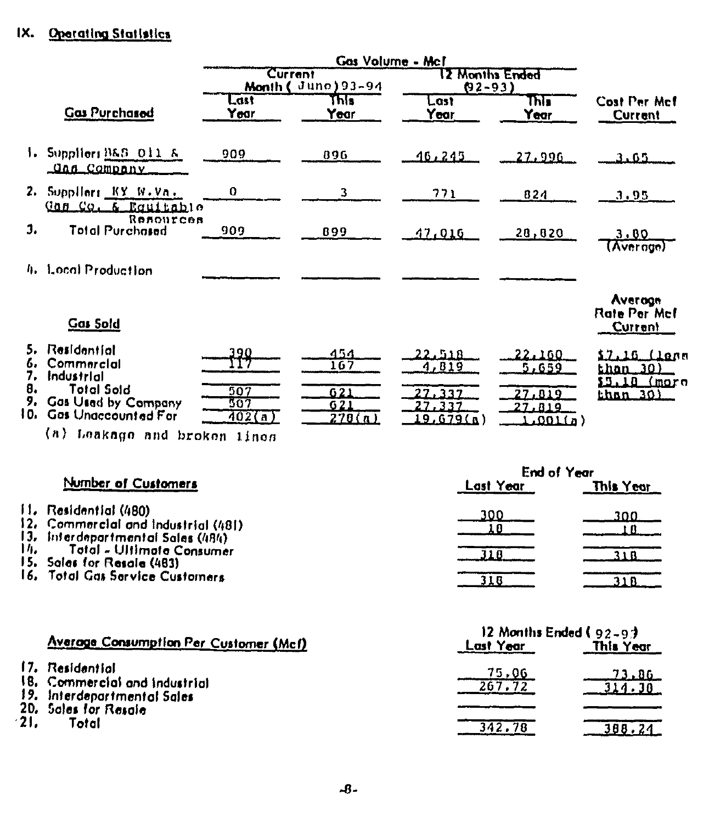# IX. Operating Statistics

|                 |                                                                                                                   | Gas Volume - Mcf            |                                    |                                                         |                                                        |                                                             |  |
|-----------------|-------------------------------------------------------------------------------------------------------------------|-----------------------------|------------------------------------|---------------------------------------------------------|--------------------------------------------------------|-------------------------------------------------------------|--|
|                 |                                                                                                                   | Current                     | Month (June) 93-94                 | <b>2 Months Ended</b><br>$02 - 93$                      |                                                        |                                                             |  |
|                 | <b>Gas Purchased</b>                                                                                              | Last<br>Year                | कार<br>Year                        | Last<br>Year                                            | This<br>Year                                           | <b>Cost Per Mcf</b><br><b>Current</b>                       |  |
|                 | Suppliers B&S Oil &<br><u> Gas Company</u>                                                                        | 909                         | 896                                | 16, 245                                                 | 27,996                                                 | 3.65                                                        |  |
| 2.              | Suppliers KY W.Va.<br>$Q$ an $CQ$ , $\overline{a}$<br>Equitable                                                   | 0                           | 3                                  | 771                                                     | 824                                                    | 3.95                                                        |  |
| $J_{\bullet}$   | Resources<br><b>Total Purchased</b>                                                                               | 909                         | 899                                | 17,016                                                  | 28, 820                                                | 3.00<br>(Average)                                           |  |
|                 | 4. Local Production                                                                                               |                             |                                    |                                                         |                                                        |                                                             |  |
|                 | <b>Gas Sold</b>                                                                                                   |                             |                                    |                                                         |                                                        | Average<br>Rate Per Mcl<br>Current                          |  |
| 7.<br>8.<br>10. | Residential<br>Commercial<br>Industrial<br><b>Total Sold</b><br>Gas Used by Company<br><b>Gos Unaccounted For</b> | 390<br>507<br>507<br>402(a) | 454<br>167<br>621<br>621<br>270(n) | 22.518<br>4,819<br>27,337<br>27,337<br><u>19,679(a)</u> | 22.160<br>5.659<br>27,019<br>27.819<br><u>( م) ۵۵۱</u> | 17.16 (lana<br>than .30)<br>\$5.18 (mare<br><u>than 30)</u> |  |
|                 | (a) Leakage and broken lines                                                                                      |                             |                                    |                                                         |                                                        |                                                             |  |

|                                                                                                    | <b>End of Year</b> |           |  |
|----------------------------------------------------------------------------------------------------|--------------------|-----------|--|
| Number of Customers                                                                                | Last Year          | This Year |  |
| II。Residential (480):<br>2. Commercial and industrial (481).<br>13. Interdepartmental Sales (484). | 300                | 300       |  |
| M.<br>Total - Ultimate Consumer<br>15. Sales for Resale (483).                                     |                    |           |  |
| 16. Total Gas Service Customers.                                                                   |                    | ว 1 ก     |  |

|        |                                                     | 12 Months Ended ( $92-97$ ) |           |  |  |
|--------|-----------------------------------------------------|-----------------------------|-----------|--|--|
|        | Average Consumption Per Customer (Mcf)              | Last Year                   | This Year |  |  |
|        | 17. Residential<br>18. Commercial and industrial    | 75.06<br>267.72             | - 73.86   |  |  |
|        | 19. Interdepartmental Sales<br>20. Sales for Resale |                             |           |  |  |
| $-21.$ | Total                                               | 342.78                      | 388.24    |  |  |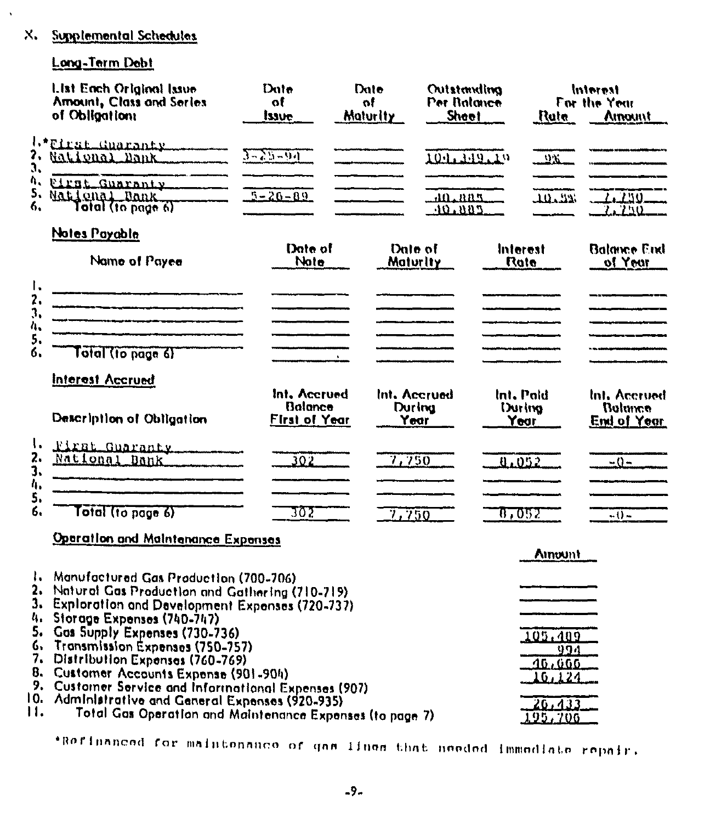## X. Supplemental Schedules

# Long-Term Debt

 $\lambda$ 

|                      | List Each Original Issue<br>Amount, Class and Series<br>of Obligation:                                                                                                                                                                                                                                                                                                                       | Dute<br>of<br>issue                                    | Date<br>оf<br>Maturity | Outstanding<br>Per Balance<br><b>Shoot</b> |                                 | Ruta                                              | Interest<br>For the Year<br>Amount            |
|----------------------|----------------------------------------------------------------------------------------------------------------------------------------------------------------------------------------------------------------------------------------------------------------------------------------------------------------------------------------------------------------------------------------------|--------------------------------------------------------|------------------------|--------------------------------------------|---------------------------------|---------------------------------------------------|-----------------------------------------------|
| 3,                   | 1.*Eirst Guaranty<br>2. National Dank                                                                                                                                                                                                                                                                                                                                                        | $3 - 25 - 94$                                          |                        | 104.349.19                                 |                                 | $23 -$                                            |                                               |
| Λ,<br>5,<br>6,       | First Guaranty<br>National Dank<br>Total (to page 6)                                                                                                                                                                                                                                                                                                                                         | $5 - 20 - 89$                                          |                        | 10.885<br>10.005                           |                                 | الالأحللك                                         | Z. 250.<br>7.750                              |
|                      | Notes Payable<br>Name of Payee                                                                                                                                                                                                                                                                                                                                                               | Date of<br>Note                                        |                        | Date of<br>Maturity                        | Interest<br>Rate                |                                                   | <b>Balance End</b><br>of Year                 |
| I.<br>2.<br>3.<br>4, | .<br>Militar ny taona 2008–2014. Ilay kaominina dia kaominina mpikambana amin'ny fivondronan-kaominin'i Nord-Afrika<br>.<br>I Waldemaan in dipungkalah berpanya di Pale Tina dan Lumpaten di Pale Pale Pale Pale.                                                                                                                                                                            |                                                        |                        |                                            | and a company of the company of |                                                   |                                               |
| 5.<br>б.             | Tatal (to page 6)                                                                                                                                                                                                                                                                                                                                                                            |                                                        |                        |                                            |                                 |                                                   |                                               |
|                      | <b>Interest Accrued</b>                                                                                                                                                                                                                                                                                                                                                                      |                                                        |                        |                                            |                                 |                                                   |                                               |
|                      | Description of Obligation                                                                                                                                                                                                                                                                                                                                                                    | Int. Accrued<br><b>Balance</b><br><b>First of Year</b> |                        | Int. Accruad<br>During<br>Year             | Int. Paid<br>During<br>Year     |                                                   | Int. Accrued<br>Bolance<br><b>End of Year</b> |
| ۱.<br>2.<br>3.<br>4. | First Guaranty<br>National Bank                                                                                                                                                                                                                                                                                                                                                              | 302                                                    |                        | 7,750                                      | 0.052                           |                                                   | $-0-$                                         |
| 5.<br>6.             | Total (to page 6)                                                                                                                                                                                                                                                                                                                                                                            | ᠊ᠶᢆ᠔᠌᠌                                                 |                        | 7.750                                      | 87052                           |                                                   | $-0-$                                         |
|                      | Operation and Maintenance Expenses                                                                                                                                                                                                                                                                                                                                                           |                                                        |                        |                                            |                                 | Amount                                            |                                               |
| 6.<br>9.<br>0.       | 1. Manufactured Gas Production (700-706)<br>2. Natural Gas Production and Gathering (710-719)<br>3. Exploration and Development Expenses (720-737)<br>4. Storage Expenses (740-747)<br>Gos Supply Expenses (730-736)<br>Transmission Expenses (750-757)<br>7. Distribution Expenses (760-769)<br>8. Customer Accounts Expense (901-904)<br>Customer Service and Informational Expenses (907) |                                                        |                        |                                            |                                 | <u> 105.409</u><br>994<br><u>40,000</u><br>10,124 |                                               |
| п.                   | Administrative and General Expenses (920-935)<br>Total Gas Operation and Maintenance Expenses (to page 7)                                                                                                                                                                                                                                                                                    |                                                        |                        |                                            |                                 | 20,433<br><u>195,706</u>                          |                                               |

\*Refinanced for maintenance of gas lines that needed immediate repair.